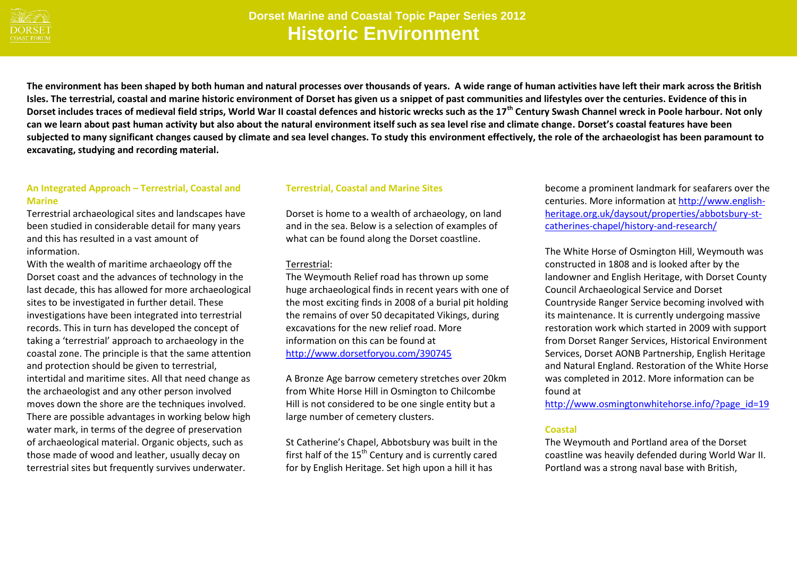

## **Dorset Marine and Coastal Topic Paper Series 2012 Historic Environment**

**The environment has been shaped by both human and natural processes over thousands of years. A wide range of human activities have left their mark across the British Isles. The terrestrial, coastal and marine historic environment of Dorset has given us a snippet of past communities and lifestyles over the centuries. Evidence of this in Dorset includes traces of medieval field strips, World War II coastal defences and historic wrecks such as the 17th Century Swash Channel wreck in Poole harbour. Not only can we learn about past human activity but also about the natural environment itself such as sea level rise and climate change. Dorset's coastal features have been subjected to many significant changes caused by climate and sea level changes. To study this environment effectively, the role of the archaeologist has been paramount to excavating, studying and recording material.** 

### **An Integrated Approach – Terrestrial, Coastal and Marine**

Terrestrial archaeological sites and landscapes have been studied in considerable detail for many years and this has resulted in a vast amount of information.

With the wealth of maritime archaeology off the Dorset coast and the advances of technology in the last decade, this has allowed for more archaeological sites to be investigated in further detail. These investigations have been integrated into terrestrial records. This in turn has developed the concept of taking a 'terrestrial' approach to archaeology in the coastal zone. The principle is that the same attention and protection should be given to terrestrial, intertidal and maritime sites. All that need change as the archaeologist and any other person involved moves down the shore are the techniques involved. There are possible advantages in working below high water mark, in terms of the degree of preservation of archaeological material. Organic objects, such as those made of wood and leather, usually decay on terrestrial sites but frequently survives underwater.

#### **Terrestrial, Coastal and Marine Sites**

Dorset is home to a wealth of archaeology, on land and in the sea. Below is a selection of examples of what can be found along the Dorset coastline.

#### Terrestrial:

The Weymouth Relief road has thrown up some huge archaeological finds in recent years with one of the most exciting finds in 2008 of a burial pit holding the remains of over 50 decapitated Vikings, during excavations for the new relief road. More information on this can be found at <http://www.dorsetforyou.com/390745>

A Bronze Age barrow cemetery stretches over 20km from White Horse Hill in Osmington to Chilcombe Hill is not considered to be one single entity but a large number of cemetery clusters.

St Catherine's Chapel, Abbotsbury was built in the first half of the  $15<sup>th</sup>$  Century and is currently cared for by English Heritage. Set high upon a hill it has

become a prominent landmark for seafarers over the centuries. More information a[t http://www.english](http://www.english-heritage.org.uk/daysout/properties/abbotsbury-st-catherines-chapel/history-and-research/)[heritage.org.uk/daysout/properties/abbotsbury-st](http://www.english-heritage.org.uk/daysout/properties/abbotsbury-st-catherines-chapel/history-and-research/)[catherines-chapel/history-and-research/](http://www.english-heritage.org.uk/daysout/properties/abbotsbury-st-catherines-chapel/history-and-research/) 

The White Horse of Osmington Hill, Weymouth was constructed in 1808 and is looked after by the landowner and English Heritage, with Dorset County Council Archaeological Service and Dorset Countryside Ranger Service becoming involved with its maintenance. It is currently undergoing massive restoration work which started in 2009 with support from Dorset Ranger Services, Historical Environment Services, Dorset AONB Partnership, English Heritage and Natural England. Restoration of the White Horse was completed in 2012. More information can be found at

[http://www.osmingtonwhitehorse.info/?page\\_id=19](http://www.osmingtonwhitehorse.info/?page_id=19)

#### **Coastal**

The Weymouth and Portland area of the Dorset coastline was heavily defended during World War II. Portland was a strong naval base with British,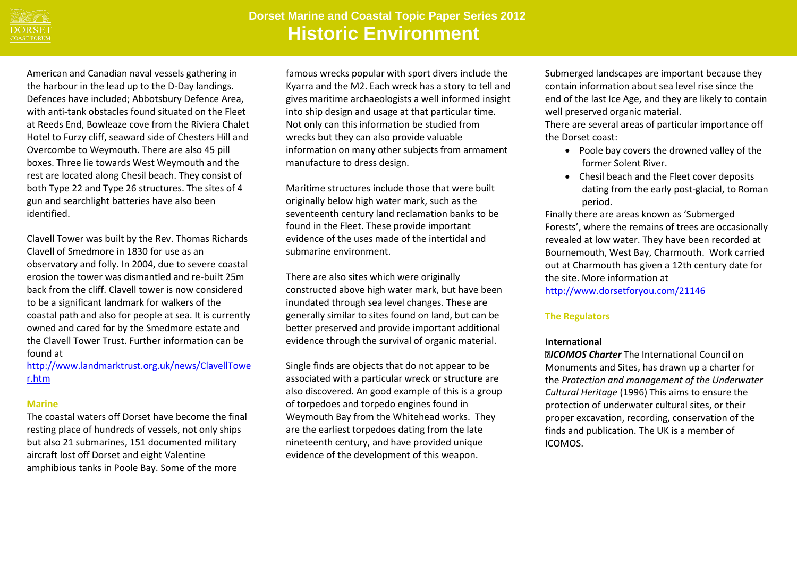

# **Dorset Marine and Coastal Topic Paper Series 2012 Historic Environment**

American and Canadian naval vessels gathering in the harbour in the lead up to the D-Day landings. Defences have included; Abbotsbury Defence Area, with anti-tank obstacles found situated on the Fleet at Reeds End, Bowleaze cove from the Riviera Chalet Hotel to Furzy cliff, seaward side of Chesters Hill and Overcombe to Weymouth. There are also 45 pill boxes. Three lie towards West Weymouth and the rest are located along Chesil beach. They consist of both Type 22 and Type 26 structures. The sites of 4 gun and searchlight batteries have also been identified.

Clavell Tower was built by the Rev. Thomas Richards Clavell of Smedmore in 1830 for use as an observatory and folly. In 2004, due to severe coastal erosion the tower was dismantled and re-built 25m back from the cliff. Clavell tower is now considered to be a significant landmark for walkers of the coastal path and also for people at sea. It is currently owned and cared for by the Smedmore estate and the Clavell Tower Trust. Further information can be found at

[http://www.landmarktrust.org.uk/news/ClavellTowe](http://www.landmarktrust.org.uk/news/ClavellTower.htm) [r.htm](http://www.landmarktrust.org.uk/news/ClavellTower.htm)

#### **Marine**

The coastal waters off Dorset have become the final resting place of hundreds of vessels, not only ships but also 21 submarines, 151 documented military aircraft lost off Dorset and eight Valentine amphibious tanks in Poole Bay. Some of the more

famous wrecks popular with sport divers include the Kyarra and the M2. Each wreck has a story to tell and gives maritime archaeologists a well informed insight into ship design and usage at that particular time. Not only can this information be studied from wrecks but they can also provide valuable information on many other subjects from armament manufacture to dress design.

Maritime structures include those that were built originally below high water mark, such as the seventeenth century land reclamation banks to be found in the Fleet. These provide important evidence of the uses made of the intertidal and submarine environment.

There are also sites which were originally constructed above high water mark, but have been inundated through sea level changes. These are generally similar to sites found on land, but can be better preserved and provide important additional evidence through the survival of organic material.

Single finds are objects that do not appear to be associated with a particular wreck or structure are also discovered. An good example of this is a group of torpedoes and torpedo engines found in Weymouth Bay from the Whitehead works. They are the earliest torpedoes dating from the late nineteenth century, and have provided unique evidence of the development of this weapon.

Submerged landscapes are important because they contain information about sea level rise since the end of the last Ice Age, and they are likely to contain well preserved organic material.

There are several areas of particular importance off the Dorset coast:

- Poole bay covers the drowned valley of the former Solent River.
- Chesil beach and the Fleet cover deposits dating from the early post-glacial, to Roman period.

Finally there are areas known as 'Submerged Forests', where the remains of trees are occasionally revealed at low water. They have been recorded at Bournemouth, West Bay, Charmouth. Work carried out at Charmouth has given a 12th century date for the site. More information at <http://www.dorsetforyou.com/21146>

### **The Regulators**

## **International**

*ICOMOS Charter* The International Council on Monuments and Sites, has drawn up a charter for the *Protection and management of the Underwater Cultural Heritage* (1996) This aims to ensure the protection of underwater cultural sites, or their proper excavation, recording, conservation of the finds and publication. The UK is a member of ICOMOS.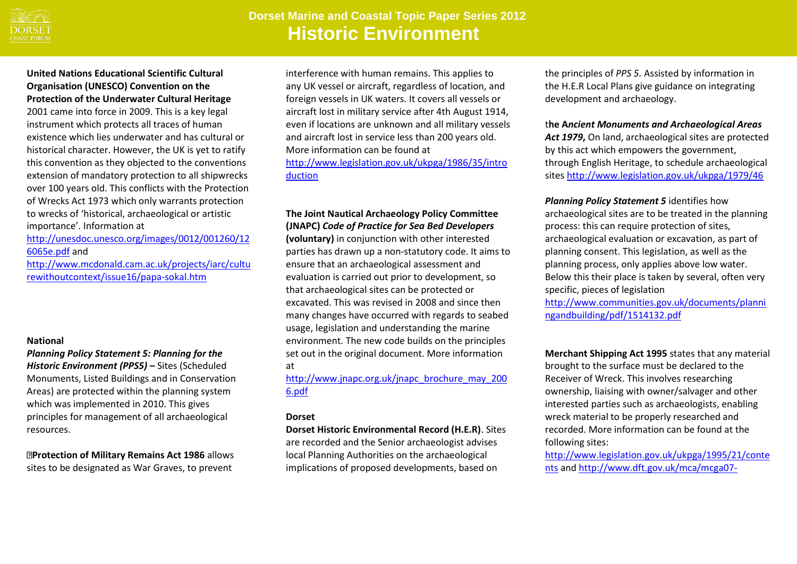

# **Dorset Marine and Coastal Topic Paper Series 2012 Historic Environment**

## **United Nations Educational Scientific Cultural Organisation (UNESCO) Convention on the Protection of the Underwater Cultural Heritage**

2001 came into force in 2009. This is a key legal instrument which protects all traces of human existence which lies underwater and has cultural or historical character. However, the UK is yet to ratify this convention as they objected to the conventions extension of mandatory protection to all shipwrecks over 100 years old. This conflicts with the Protection of Wrecks Act 1973 which only warrants protection to wrecks of 'historical, archaeological or artistic importance'. Information at

[http://unesdoc.unesco.org/images/0012/001260/12](http://unesdoc.unesco.org/images/0012/001260/126065e.pdf) [6065e.pdf](http://unesdoc.unesco.org/images/0012/001260/126065e.pdf) and

[http://www.mcdonald.cam.ac.uk/projects/iarc/cultu](http://www.mcdonald.cam.ac.uk/projects/iarc/culturewithoutcontext/issue16/papa-sokal.htm) [rewithoutcontext/issue16/papa-sokal.htm](http://www.mcdonald.cam.ac.uk/projects/iarc/culturewithoutcontext/issue16/papa-sokal.htm)

#### **National**

*Planning Policy Statement 5: Planning for the Historic Environment (PPS5) –* Sites (Scheduled Monuments, Listed Buildings and in Conservation Areas) are protected within the planning system which was implemented in 2010. This gives principles for management of all archaeological resources.

**Protection of Military Remains Act 1986** allows sites to be designated as War Graves, to prevent

interference with human remains. This applies to any UK vessel or aircraft, regardless of location, and foreign vessels in UK waters. It covers all vessels or aircraft lost in military service after 4th August 1914, even if locations are unknown and all military vessels and aircraft lost in service less than 200 years old. More information can be found at [http://www.legislation.gov.uk/ukpga/1986/35/intro](http://www.legislation.gov.uk/ukpga/1986/35/introduction)

[duction](http://www.legislation.gov.uk/ukpga/1986/35/introduction)

## **The Joint Nautical Archaeology Policy Committee (JNAPC)** *Code of Practice for Sea Bed Developers*

**(voluntary)** in conjunction with other interested parties has drawn up a non-statutory code. It aims to ensure that an archaeological assessment and evaluation is carried out prior to development, so that archaeological sites can be protected or excavated. This was revised in 2008 and since then many changes have occurred with regards to seabed usage, legislation and understanding the marine environment. The new code builds on the principles set out in the original document. More information at

[http://www.jnapc.org.uk/jnapc\\_brochure\\_may\\_200](http://www.jnapc.org.uk/jnapc_brochure_may_2006.pdf) [6.pdf](http://www.jnapc.org.uk/jnapc_brochure_may_2006.pdf)

### **Dorset**

**Dorset Historic Environmental Record (H.E.R)**. Sites are recorded and the Senior archaeologist advises local Planning Authorities on the archaeological implications of proposed developments, based on

the principles of *PPS 5.* Assisted by information in the H.E.R Local Plans give guidance on integrating development and archaeology.

### t**he A***ncient Monuments and Archaeological Areas*

*Act 1979***,** On land, archaeological sites are protected by this act which empowers the government, through English Heritage, to schedule archaeological sites <http://www.legislation.gov.uk/ukpga/1979/46>

*Planning Policy Statement 5* identifies how archaeological sites are to be treated in the planning process: this can require protection of sites, archaeological evaluation or excavation, as part of planning consent. This legislation, as well as the planning process, only applies above low water. Below this their place is taken by several, often very specific, pieces of legislation

[http://www.communities.gov.uk/documents/planni](http://www.communities.gov.uk/documents/planningandbuilding/pdf/1514132.pdf) [ngandbuilding/pdf/1514132.pdf](http://www.communities.gov.uk/documents/planningandbuilding/pdf/1514132.pdf) 

**Merchant Shipping Act 1995** states that any material brought to the surface must be declared to the Receiver of Wreck. This involves researching ownership, liaising with owner/salvager and other interested parties such as archaeologists, enabling wreck material to be properly researched and recorded. More information can be found at the following sites:

[http://www.legislation.gov.uk/ukpga/1995/21/conte](http://www.legislation.gov.uk/ukpga/1995/21/contents) [nts](http://www.legislation.gov.uk/ukpga/1995/21/contents) an[d http://www.dft.gov.uk/mca/mcga07-](http://www.dft.gov.uk/mca/mcga07-home/emergencyresponse/mcga-receiverofwreck.htm)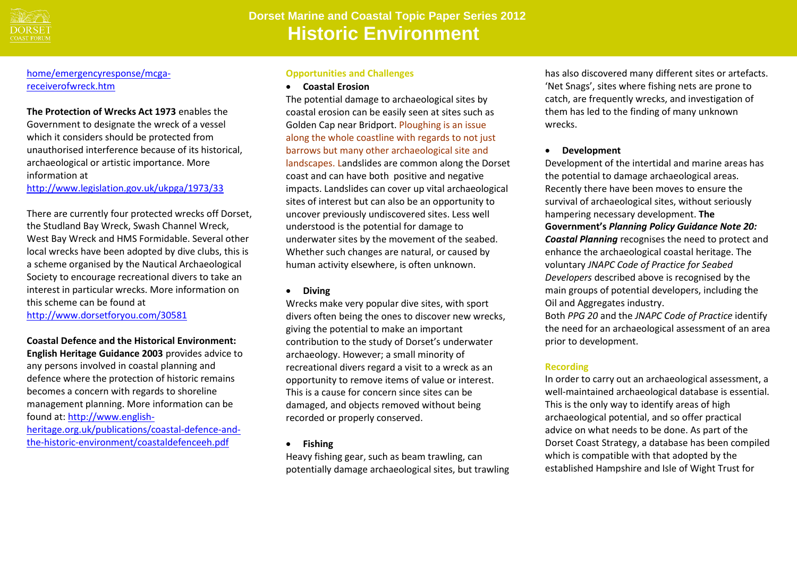

## home/emergencyresponse/mcgareceiverofwreck.htm

**The Protection of Wrecks Act 1973** enables the Government to designate the wreck of a vessel which it considers should be protected from unauthorised interference because of its historical, archaeological or artistic importance. More information at <http://www.legislation.gov.uk/ukpga/1973/33>

There are currently four protected wrecks off Dorset, the Studland Bay Wreck, Swash Channel Wreck, West Bay Wreck and HMS Formidable. Several other local wrecks have been adopted by dive clubs, this is a scheme organised by the Nautical Archaeological Society to encourage recreational divers to take an interest in particular wrecks. More information on this scheme can be found at

<http://www.dorsetforyou.com/30581>

**Coastal Defence and the Historical Environment: English Heritage Guidance 2003** provides advice to any persons involved in coastal planning and defence where the protection of historic remains becomes a concern with regards to shoreline management planning. More information can be found at: [http://www.english-](http://www.english-heritage.org.uk/publications/coastal-defence-and-the-historic-environment/coastaldefenceeh.pdf)

[heritage.org.uk/publications/coastal-defence-and](http://www.english-heritage.org.uk/publications/coastal-defence-and-the-historic-environment/coastaldefenceeh.pdf)[the-historic-environment/coastaldefenceeh.pdf](http://www.english-heritage.org.uk/publications/coastal-defence-and-the-historic-environment/coastaldefenceeh.pdf)

#### **Opportunities and Challenges**

**Coastal Erosion**

The potential damage to archaeological sites by coastal erosion can be easily seen at sites such as Golden Cap near Bridport. Ploughing is an issue along the whole coastline with regards to not just barrows but many other archaeological site and landscapes. Landslides are common along the Dorset coast and can have both positive and negative impacts. Landslides can cover up vital archaeological sites of interest but can also be an opportunity to uncover previously undiscovered sites. Less well understood is the potential for damage to underwater sites by the movement of the seabed. Whether such changes are natural, or caused by human activity elsewhere, is often unknown.

**Diving** 

Wrecks make very popular dive sites, with sport divers often being the ones to discover new wrecks, giving the potential to make an important contribution to the study of Dorset's underwater archaeology. However; a small minority of recreational divers regard a visit to a wreck as an opportunity to remove items of value or interest. This is a cause for concern since sites can be damaged, and objects removed without being recorded or properly conserved.

**Fishing** 

Heavy fishing gear, such as beam trawling, can potentially damage archaeological sites, but trawling has also discovered many different sites or artefacts. 'Net Snags', sites where fishing nets are prone to catch, are frequently wrecks, and investigation of them has led to the finding of many unknown wrecks.

**Development** 

Development of the intertidal and marine areas has the potential to damage archaeological areas. Recently there have been moves to ensure the survival of archaeological sites, without seriously hampering necessary development. **The Government's** *Planning Policy Guidance Note 20: Coastal Planning* recognises the need to protect and enhance the archaeological coastal heritage. The voluntary *JNAPC Code of Practice for Seabed Developers* described above is recognised by the main groups of potential developers, including the Oil and Aggregates industry.

Both *PPG 20* and the *JNAPC Code of Practice* identify the need for an archaeological assessment of an area prior to development.

## **Recording**

In order to carry out an archaeological assessment, a well-maintained archaeological database is essential. This is the only way to identify areas of high archaeological potential, and so offer practical advice on what needs to be done. As part of the Dorset Coast Strategy, a database has been compiled which is compatible with that adopted by the established Hampshire and Isle of Wight Trust for